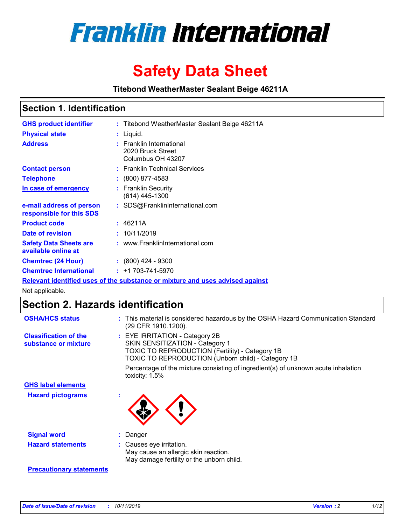

# **Safety Data Sheet**

**Titebond WeatherMaster Sealant Beige 46211A**

### **Section 1. Identification**

| <b>GHS product identifier</b>                        | : Titebond WeatherMaster Sealant Beige 46211A                                 |
|------------------------------------------------------|-------------------------------------------------------------------------------|
| <b>Physical state</b>                                | : Liquid.                                                                     |
| <b>Address</b>                                       | : Franklin International<br>2020 Bruck Street<br>Columbus OH 43207            |
| <b>Contact person</b>                                | : Franklin Technical Services                                                 |
| <b>Telephone</b>                                     | $\div$ (800) 877-4583                                                         |
| In case of emergency                                 | : Franklin Security<br>(614) 445-1300                                         |
| e-mail address of person<br>responsible for this SDS | : SDS@FranklinInternational.com                                               |
| <b>Product code</b>                                  | : 46211A                                                                      |
| Date of revision                                     | : 10/11/2019                                                                  |
| <b>Safety Data Sheets are</b><br>available online at | : www.FranklinInternational.com                                               |
| <b>Chemtrec (24 Hour)</b>                            | $\div$ (800) 424 - 9300                                                       |
| <b>Chemtrec International</b>                        | $: +1703 - 741 - 5970$                                                        |
|                                                      | Relevant identified uses of the substance or mixture and uses advised against |

Not applicable.

## **Section 2. Hazards identification**

| <b>OSHA/HCS status</b>                               | : This material is considered hazardous by the OSHA Hazard Communication Standard<br>(29 CFR 1910.1200).                                                                                 |
|------------------------------------------------------|------------------------------------------------------------------------------------------------------------------------------------------------------------------------------------------|
| <b>Classification of the</b><br>substance or mixture | : EYE IRRITATION - Category 2B<br>SKIN SENSITIZATION - Category 1<br><b>TOXIC TO REPRODUCTION (Fertility) - Category 1B</b><br><b>TOXIC TO REPRODUCTION (Unborn child) - Category 1B</b> |
|                                                      | Percentage of the mixture consisting of ingredient(s) of unknown acute inhalation<br>toxicity: $1.5\%$                                                                                   |
| <b>GHS label elements</b>                            |                                                                                                                                                                                          |
| <b>Hazard pictograms</b>                             |                                                                                                                                                                                          |
| <b>Signal word</b>                                   | : Danger                                                                                                                                                                                 |
| <b>Hazard statements</b>                             | : Causes eye irritation.<br>May cause an allergic skin reaction.<br>May damage fertility or the unborn child.                                                                            |
| <b>Precautionary statements</b>                      |                                                                                                                                                                                          |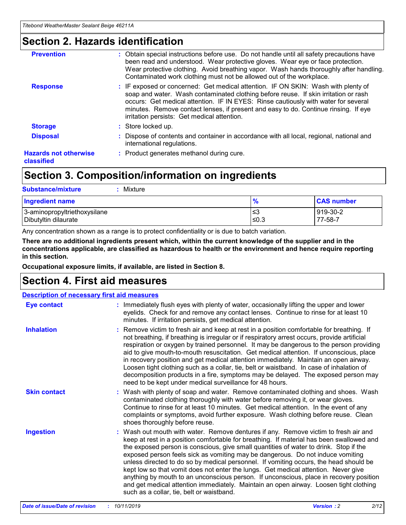### **Section 2. Hazards identification**

| <b>Prevention</b>                          | : Obtain special instructions before use. Do not handle until all safety precautions have<br>been read and understood. Wear protective gloves. Wear eye or face protection.<br>Wear protective clothing. Avoid breathing vapor. Wash hands thoroughly after handling.<br>Contaminated work clothing must not be allowed out of the workplace.                                                        |
|--------------------------------------------|------------------------------------------------------------------------------------------------------------------------------------------------------------------------------------------------------------------------------------------------------------------------------------------------------------------------------------------------------------------------------------------------------|
| <b>Response</b>                            | : IF exposed or concerned: Get medical attention. IF ON SKIN: Wash with plenty of<br>soap and water. Wash contaminated clothing before reuse. If skin irritation or rash<br>occurs: Get medical attention. IF IN EYES: Rinse cautiously with water for several<br>minutes. Remove contact lenses, if present and easy to do. Continue rinsing. If eye<br>irritation persists: Get medical attention. |
| <b>Storage</b>                             | : Store locked up.                                                                                                                                                                                                                                                                                                                                                                                   |
| <b>Disposal</b>                            | : Dispose of contents and container in accordance with all local, regional, national and<br>international regulations.                                                                                                                                                                                                                                                                               |
| <b>Hazards not otherwise</b><br>classified | : Product generates methanol during cure.                                                                                                                                                                                                                                                                                                                                                            |
|                                            |                                                                                                                                                                                                                                                                                                                                                                                                      |

### **Section 3. Composition/information on ingredients**

| <b>Substance/mixture</b><br>Mixture                  |               |                     |
|------------------------------------------------------|---------------|---------------------|
| <b>Ingredient name</b>                               | $\frac{9}{6}$ | <b>CAS number</b>   |
| 3-aminopropyltriethoxysilane<br>Dibutyltin dilaurate | ≤3<br>$≤0.3$  | 919-30-2<br>77-58-7 |

Any concentration shown as a range is to protect confidentiality or is due to batch variation.

**There are no additional ingredients present which, within the current knowledge of the supplier and in the concentrations applicable, are classified as hazardous to health or the environment and hence require reporting in this section.**

**Occupational exposure limits, if available, are listed in Section 8.**

### **Section 4. First aid measures**

| <b>Description of necessary first aid measures</b> |                                                                                                                                                                                                                                                                                                                                                                                                                                                                                                                                                                                                                                                                                                                                                                           |  |  |  |
|----------------------------------------------------|---------------------------------------------------------------------------------------------------------------------------------------------------------------------------------------------------------------------------------------------------------------------------------------------------------------------------------------------------------------------------------------------------------------------------------------------------------------------------------------------------------------------------------------------------------------------------------------------------------------------------------------------------------------------------------------------------------------------------------------------------------------------------|--|--|--|
| <b>Eye contact</b>                                 | : Immediately flush eyes with plenty of water, occasionally lifting the upper and lower<br>eyelids. Check for and remove any contact lenses. Continue to rinse for at least 10<br>minutes. If irritation persists, get medical attention.                                                                                                                                                                                                                                                                                                                                                                                                                                                                                                                                 |  |  |  |
| <b>Inhalation</b>                                  | : Remove victim to fresh air and keep at rest in a position comfortable for breathing. If<br>not breathing, if breathing is irregular or if respiratory arrest occurs, provide artificial<br>respiration or oxygen by trained personnel. It may be dangerous to the person providing<br>aid to give mouth-to-mouth resuscitation. Get medical attention. If unconscious, place<br>in recovery position and get medical attention immediately. Maintain an open airway.<br>Loosen tight clothing such as a collar, tie, belt or waistband. In case of inhalation of<br>decomposition products in a fire, symptoms may be delayed. The exposed person may<br>need to be kept under medical surveillance for 48 hours.                                                       |  |  |  |
| <b>Skin contact</b>                                | : Wash with plenty of soap and water. Remove contaminated clothing and shoes. Wash<br>contaminated clothing thoroughly with water before removing it, or wear gloves.<br>Continue to rinse for at least 10 minutes. Get medical attention. In the event of any<br>complaints or symptoms, avoid further exposure. Wash clothing before reuse. Clean<br>shoes thoroughly before reuse.                                                                                                                                                                                                                                                                                                                                                                                     |  |  |  |
| <b>Ingestion</b>                                   | : Wash out mouth with water. Remove dentures if any. Remove victim to fresh air and<br>keep at rest in a position comfortable for breathing. If material has been swallowed and<br>the exposed person is conscious, give small quantities of water to drink. Stop if the<br>exposed person feels sick as vomiting may be dangerous. Do not induce vomiting<br>unless directed to do so by medical personnel. If vomiting occurs, the head should be<br>kept low so that vomit does not enter the lungs. Get medical attention. Never give<br>anything by mouth to an unconscious person. If unconscious, place in recovery position<br>and get medical attention immediately. Maintain an open airway. Loosen tight clothing<br>such as a collar, tie, belt or waistband. |  |  |  |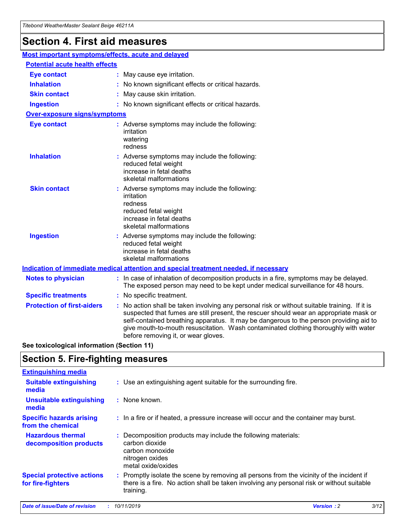## **Section 4. First aid measures**

| Most important symptoms/effects, acute and delayed |                                       |                                                                                                                                                                                                                                                                                                                                                                                                                 |  |  |  |
|----------------------------------------------------|---------------------------------------|-----------------------------------------------------------------------------------------------------------------------------------------------------------------------------------------------------------------------------------------------------------------------------------------------------------------------------------------------------------------------------------------------------------------|--|--|--|
|                                                    | <b>Potential acute health effects</b> |                                                                                                                                                                                                                                                                                                                                                                                                                 |  |  |  |
| <b>Eye contact</b>                                 |                                       | : May cause eye irritation.                                                                                                                                                                                                                                                                                                                                                                                     |  |  |  |
| <b>Inhalation</b>                                  |                                       | : No known significant effects or critical hazards.                                                                                                                                                                                                                                                                                                                                                             |  |  |  |
| <b>Skin contact</b>                                |                                       | : May cause skin irritation.                                                                                                                                                                                                                                                                                                                                                                                    |  |  |  |
| <b>Ingestion</b>                                   |                                       | : No known significant effects or critical hazards.                                                                                                                                                                                                                                                                                                                                                             |  |  |  |
| <b>Over-exposure signs/symptoms</b>                |                                       |                                                                                                                                                                                                                                                                                                                                                                                                                 |  |  |  |
| <b>Eye contact</b>                                 |                                       | : Adverse symptoms may include the following:<br>irritation<br>watering<br>redness                                                                                                                                                                                                                                                                                                                              |  |  |  |
| <b>Inhalation</b>                                  |                                       | : Adverse symptoms may include the following:<br>reduced fetal weight<br>increase in fetal deaths<br>skeletal malformations                                                                                                                                                                                                                                                                                     |  |  |  |
| <b>Skin contact</b>                                |                                       | : Adverse symptoms may include the following:<br>irritation<br>redness<br>reduced fetal weight<br>increase in fetal deaths<br>skeletal malformations                                                                                                                                                                                                                                                            |  |  |  |
| <b>Ingestion</b>                                   |                                       | : Adverse symptoms may include the following:<br>reduced fetal weight<br>increase in fetal deaths<br>skeletal malformations                                                                                                                                                                                                                                                                                     |  |  |  |
|                                                    |                                       | <b>Indication of immediate medical attention and special treatment needed, if necessary</b>                                                                                                                                                                                                                                                                                                                     |  |  |  |
| <b>Notes to physician</b>                          |                                       | : In case of inhalation of decomposition products in a fire, symptoms may be delayed.<br>The exposed person may need to be kept under medical surveillance for 48 hours.                                                                                                                                                                                                                                        |  |  |  |
| <b>Specific treatments</b>                         |                                       | : No specific treatment.                                                                                                                                                                                                                                                                                                                                                                                        |  |  |  |
| <b>Protection of first-aiders</b>                  |                                       | : No action shall be taken involving any personal risk or without suitable training. If it is<br>suspected that fumes are still present, the rescuer should wear an appropriate mask or<br>self-contained breathing apparatus. It may be dangerous to the person providing aid to<br>give mouth-to-mouth resuscitation. Wash contaminated clothing thoroughly with water<br>before removing it, or wear gloves. |  |  |  |

**See toxicological information (Section 11)**

### **Section 5. Fire-fighting measures**

| <b>Extinguishing media</b>                             |                                                                                                                                                                                                     |
|--------------------------------------------------------|-----------------------------------------------------------------------------------------------------------------------------------------------------------------------------------------------------|
| <b>Suitable extinguishing</b><br>media                 | : Use an extinguishing agent suitable for the surrounding fire.                                                                                                                                     |
| <b>Unsuitable extinguishing</b><br>media               | $:$ None known.                                                                                                                                                                                     |
| <b>Specific hazards arising</b><br>from the chemical   | : In a fire or if heated, a pressure increase will occur and the container may burst.                                                                                                               |
| <b>Hazardous thermal</b><br>decomposition products     | : Decomposition products may include the following materials:<br>carbon dioxide<br>carbon monoxide<br>nitrogen oxides<br>metal oxide/oxides                                                         |
| <b>Special protective actions</b><br>for fire-fighters | : Promptly isolate the scene by removing all persons from the vicinity of the incident if<br>there is a fire. No action shall be taken involving any personal risk or without suitable<br>training. |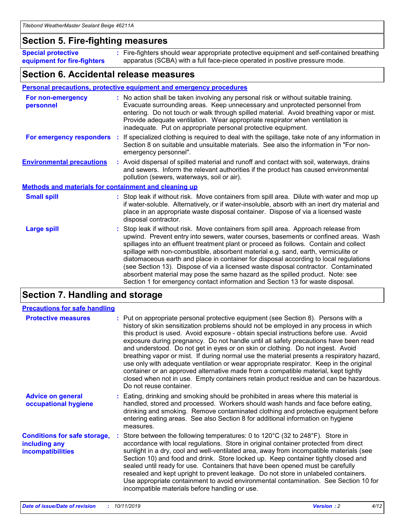### **Section 5. Fire-fighting measures**

**Special protective equipment for fire-fighters** Fire-fighters should wear appropriate protective equipment and self-contained breathing **:** apparatus (SCBA) with a full face-piece operated in positive pressure mode.

### **Section 6. Accidental release measures**

#### **Personal precautions, protective equipment and emergency procedures**

| For non-emergency<br>personnel                               | : No action shall be taken involving any personal risk or without suitable training.<br>Evacuate surrounding areas. Keep unnecessary and unprotected personnel from<br>entering. Do not touch or walk through spilled material. Avoid breathing vapor or mist.<br>Provide adequate ventilation. Wear appropriate respirator when ventilation is<br>inadequate. Put on appropriate personal protective equipment.                                                                                                                                                                                                                                                                                             |
|--------------------------------------------------------------|--------------------------------------------------------------------------------------------------------------------------------------------------------------------------------------------------------------------------------------------------------------------------------------------------------------------------------------------------------------------------------------------------------------------------------------------------------------------------------------------------------------------------------------------------------------------------------------------------------------------------------------------------------------------------------------------------------------|
|                                                              | For emergency responders : If specialized clothing is required to deal with the spillage, take note of any information in<br>Section 8 on suitable and unsuitable materials. See also the information in "For non-<br>emergency personnel".                                                                                                                                                                                                                                                                                                                                                                                                                                                                  |
| <b>Environmental precautions</b>                             | : Avoid dispersal of spilled material and runoff and contact with soil, waterways, drains<br>and sewers. Inform the relevant authorities if the product has caused environmental<br>pollution (sewers, waterways, soil or air).                                                                                                                                                                                                                                                                                                                                                                                                                                                                              |
| <b>Methods and materials for containment and cleaning up</b> |                                                                                                                                                                                                                                                                                                                                                                                                                                                                                                                                                                                                                                                                                                              |
| <b>Small spill</b>                                           | : Stop leak if without risk. Move containers from spill area. Dilute with water and mop up<br>if water-soluble. Alternatively, or if water-insoluble, absorb with an inert dry material and<br>place in an appropriate waste disposal container. Dispose of via a licensed waste<br>disposal contractor.                                                                                                                                                                                                                                                                                                                                                                                                     |
| <b>Large spill</b>                                           | : Stop leak if without risk. Move containers from spill area. Approach release from<br>upwind. Prevent entry into sewers, water courses, basements or confined areas. Wash<br>spillages into an effluent treatment plant or proceed as follows. Contain and collect<br>spillage with non-combustible, absorbent material e.g. sand, earth, vermiculite or<br>diatomaceous earth and place in container for disposal according to local regulations<br>(see Section 13). Dispose of via a licensed waste disposal contractor. Contaminated<br>absorbent material may pose the same hazard as the spilled product. Note: see<br>Section 1 for emergency contact information and Section 13 for waste disposal. |

### **Section 7. Handling and storage**

| <b>Precautions for safe handling</b>                                             |                                                                                                                                                                                                                                                                                                                                                                                                                                                                                                                                                                                                                                                                                                                                                                                                                                                  |
|----------------------------------------------------------------------------------|--------------------------------------------------------------------------------------------------------------------------------------------------------------------------------------------------------------------------------------------------------------------------------------------------------------------------------------------------------------------------------------------------------------------------------------------------------------------------------------------------------------------------------------------------------------------------------------------------------------------------------------------------------------------------------------------------------------------------------------------------------------------------------------------------------------------------------------------------|
| <b>Protective measures</b>                                                       | : Put on appropriate personal protective equipment (see Section 8). Persons with a<br>history of skin sensitization problems should not be employed in any process in which<br>this product is used. Avoid exposure - obtain special instructions before use. Avoid<br>exposure during pregnancy. Do not handle until all safety precautions have been read<br>and understood. Do not get in eyes or on skin or clothing. Do not ingest. Avoid<br>breathing vapor or mist. If during normal use the material presents a respiratory hazard,<br>use only with adequate ventilation or wear appropriate respirator. Keep in the original<br>container or an approved alternative made from a compatible material, kept tightly<br>closed when not in use. Empty containers retain product residue and can be hazardous.<br>Do not reuse container. |
| <b>Advice on general</b><br>occupational hygiene                                 | : Eating, drinking and smoking should be prohibited in areas where this material is<br>handled, stored and processed. Workers should wash hands and face before eating,<br>drinking and smoking. Remove contaminated clothing and protective equipment before<br>entering eating areas. See also Section 8 for additional information on hygiene<br>measures.                                                                                                                                                                                                                                                                                                                                                                                                                                                                                    |
| <b>Conditions for safe storage,</b><br>including any<br><b>incompatibilities</b> | : Store between the following temperatures: 0 to 120 $\degree$ C (32 to 248 $\degree$ F). Store in<br>accordance with local regulations. Store in original container protected from direct<br>sunlight in a dry, cool and well-ventilated area, away from incompatible materials (see<br>Section 10) and food and drink. Store locked up. Keep container tightly closed and<br>sealed until ready for use. Containers that have been opened must be carefully<br>resealed and kept upright to prevent leakage. Do not store in unlabeled containers.<br>Use appropriate containment to avoid environmental contamination. See Section 10 for<br>incompatible materials before handling or use.                                                                                                                                                   |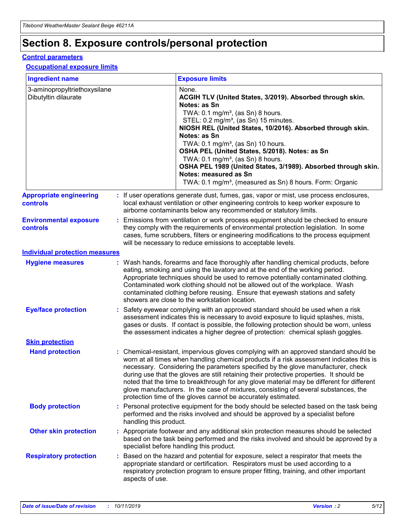## **Section 8. Exposure controls/personal protection**

#### **Control parameters**

#### **Occupational exposure limits**

| <b>Ingredient name</b>                               |    |                        | <b>Exposure limits</b>                                                                                                                                                                                                                                                                                                                                                                                                                                                                                                                                                                                                 |
|------------------------------------------------------|----|------------------------|------------------------------------------------------------------------------------------------------------------------------------------------------------------------------------------------------------------------------------------------------------------------------------------------------------------------------------------------------------------------------------------------------------------------------------------------------------------------------------------------------------------------------------------------------------------------------------------------------------------------|
| 3-aminopropyltriethoxysilane<br>Dibutyltin dilaurate |    |                        | None.<br>ACGIH TLV (United States, 3/2019). Absorbed through skin.<br>Notes: as Sn<br>TWA: $0.1 \text{ mg/m}^3$ , (as Sn) 8 hours.<br>STEL: 0.2 mg/m <sup>3</sup> , (as Sn) 15 minutes.<br>NIOSH REL (United States, 10/2016). Absorbed through skin.<br>Notes: as Sn<br>TWA: 0.1 mg/m <sup>3</sup> , (as Sn) 10 hours.<br>OSHA PEL (United States, 5/2018). Notes: as Sn<br>TWA: 0.1 mg/m <sup>3</sup> , (as Sn) 8 hours.<br>OSHA PEL 1989 (United States, 3/1989). Absorbed through skin.<br>Notes: measured as Sn<br>TWA: 0.1 mg/m <sup>3</sup> , (measured as Sn) 8 hours. Form: Organic                           |
| <b>Appropriate engineering</b><br>controls           |    |                        | : If user operations generate dust, fumes, gas, vapor or mist, use process enclosures,<br>local exhaust ventilation or other engineering controls to keep worker exposure to<br>airborne contaminants below any recommended or statutory limits.                                                                                                                                                                                                                                                                                                                                                                       |
| <b>Environmental exposure</b><br>controls            |    |                        | Emissions from ventilation or work process equipment should be checked to ensure<br>they comply with the requirements of environmental protection legislation. In some<br>cases, fume scrubbers, filters or engineering modifications to the process equipment<br>will be necessary to reduce emissions to acceptable levels.                                                                                                                                                                                                                                                                                          |
| <b>Individual protection measures</b>                |    |                        |                                                                                                                                                                                                                                                                                                                                                                                                                                                                                                                                                                                                                        |
| <b>Hygiene measures</b>                              |    |                        | : Wash hands, forearms and face thoroughly after handling chemical products, before<br>eating, smoking and using the lavatory and at the end of the working period.<br>Appropriate techniques should be used to remove potentially contaminated clothing.<br>Contaminated work clothing should not be allowed out of the workplace. Wash<br>contaminated clothing before reusing. Ensure that eyewash stations and safety<br>showers are close to the workstation location.                                                                                                                                            |
| <b>Eye/face protection</b>                           |    |                        | Safety eyewear complying with an approved standard should be used when a risk<br>assessment indicates this is necessary to avoid exposure to liquid splashes, mists,<br>gases or dusts. If contact is possible, the following protection should be worn, unless<br>the assessment indicates a higher degree of protection: chemical splash goggles.                                                                                                                                                                                                                                                                    |
| <b>Skin protection</b>                               |    |                        |                                                                                                                                                                                                                                                                                                                                                                                                                                                                                                                                                                                                                        |
| <b>Hand protection</b>                               |    |                        | : Chemical-resistant, impervious gloves complying with an approved standard should be<br>worn at all times when handling chemical products if a risk assessment indicates this is<br>necessary. Considering the parameters specified by the glove manufacturer, check<br>during use that the gloves are still retaining their protective properties. It should be<br>noted that the time to breakthrough for any glove material may be different for different<br>glove manufacturers. In the case of mixtures, consisting of several substances, the<br>protection time of the gloves cannot be accurately estimated. |
| <b>Body protection</b>                               |    | handling this product. | Personal protective equipment for the body should be selected based on the task being<br>performed and the risks involved and should be approved by a specialist before                                                                                                                                                                                                                                                                                                                                                                                                                                                |
| <b>Other skin protection</b>                         |    |                        | : Appropriate footwear and any additional skin protection measures should be selected<br>based on the task being performed and the risks involved and should be approved by a<br>specialist before handling this product.                                                                                                                                                                                                                                                                                                                                                                                              |
| <b>Respiratory protection</b>                        | ÷. | aspects of use.        | Based on the hazard and potential for exposure, select a respirator that meets the<br>appropriate standard or certification. Respirators must be used according to a<br>respiratory protection program to ensure proper fitting, training, and other important                                                                                                                                                                                                                                                                                                                                                         |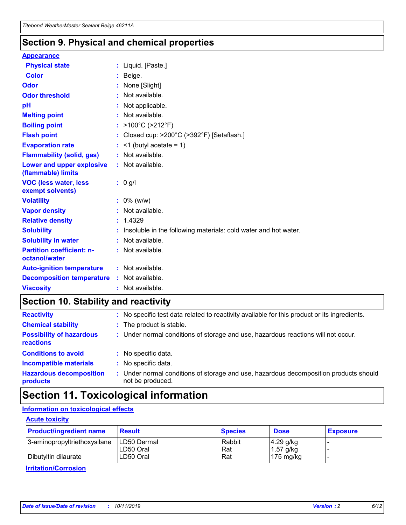### **Section 9. Physical and chemical properties**

#### **Appearance**

| <b>Physical state</b>                             | : Liquid. [Paste.]                                                |
|---------------------------------------------------|-------------------------------------------------------------------|
| Color                                             | Beige.                                                            |
| Odor                                              | None [Slight]                                                     |
| <b>Odor threshold</b>                             | : Not available.                                                  |
| рH                                                | : Not applicable.                                                 |
| <b>Melting point</b>                              | : Not available.                                                  |
| <b>Boiling point</b>                              | : $>100^{\circ}$ C ( $>212^{\circ}$ F)                            |
| <b>Flash point</b>                                | : Closed cup: $>200^{\circ}$ C ( $>392^{\circ}$ F) [Setaflash.]   |
| <b>Evaporation rate</b>                           | $:$ <1 (butyl acetate = 1)                                        |
| <b>Flammability (solid, gas)</b>                  | : Not available.                                                  |
| Lower and upper explosive<br>(flammable) limits   | : Not available.                                                  |
| <b>VOC (less water, less</b><br>exempt solvents)  | $: 0$ g/l                                                         |
| <b>Volatility</b>                                 | $: 0\%$ (w/w)                                                     |
| <b>Vapor density</b>                              | : Not available.                                                  |
| <b>Relative density</b>                           | : 1.4329                                                          |
| <b>Solubility</b>                                 | : Insoluble in the following materials: cold water and hot water. |
| <b>Solubility in water</b>                        | : Not available.                                                  |
| <b>Partition coefficient: n-</b><br>octanol/water | : Not available.                                                  |
| <b>Auto-ignition temperature</b>                  | : Not available.                                                  |
| <b>Decomposition temperature</b>                  | : Not available.                                                  |
| <b>Viscosity</b>                                  | : Not available.                                                  |

### **Section 10. Stability and reactivity**

| <b>Reactivity</b>                            |    | : No specific test data related to reactivity available for this product or its ingredients.            |
|----------------------------------------------|----|---------------------------------------------------------------------------------------------------------|
| <b>Chemical stability</b>                    |    | : The product is stable.                                                                                |
| <b>Possibility of hazardous</b><br>reactions |    | : Under normal conditions of storage and use, hazardous reactions will not occur.                       |
| <b>Conditions to avoid</b>                   |    | : No specific data.                                                                                     |
| <b>Incompatible materials</b>                | ٠. | No specific data.                                                                                       |
| <b>Hazardous decomposition</b><br>products   | ÷. | Under normal conditions of storage and use, hazardous decomposition products should<br>not be produced. |

### **Section 11. Toxicological information**

### **Information on toxicological effects**

#### **Acute toxicity**

| <b>Product/ingredient name</b> | <b>Result</b> | <b>Species</b> | <b>Dose</b>         | <b>Exposure</b> |
|--------------------------------|---------------|----------------|---------------------|-----------------|
| 3-aminopropyltriethoxysilane   | LD50 Dermal   | Rabbit         | $4.29$ g/kg         |                 |
|                                | ILD50 Oral    | Rat            | 1.57 g/kg           |                 |
| Dibutyltin dilaurate           | LD50 Oral     | Rat            | $175 \text{ mg/kg}$ |                 |

**Irritation/Corrosion**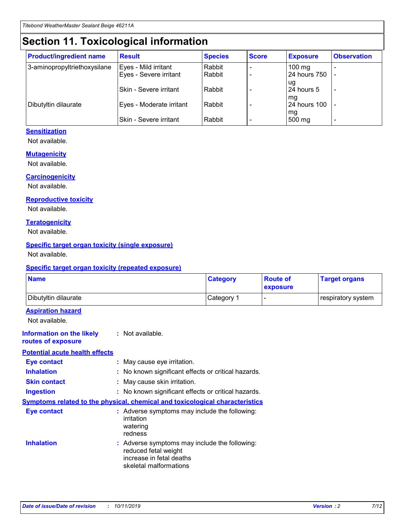## **Section 11. Toxicological information**

| <b>Product/ingredient name</b> | <b>Result</b>            | <b>Species</b> | <b>Score</b> | <b>Exposure</b>           | <b>Observation</b> |
|--------------------------------|--------------------------|----------------|--------------|---------------------------|--------------------|
| 3-aminopropyltriethoxysilane   | Eyes - Mild irritant     | Rabbit         |              | $100$ mg                  |                    |
|                                | Eyes - Severe irritant   | Rabbit         |              | 24 hours 750              |                    |
|                                |                          |                |              | ug                        |                    |
|                                | Skin - Severe irritant   | Rabbit         |              | 24 hours 5                | -                  |
| Dibutyltin dilaurate           | Eyes - Moderate irritant | Rabbit         |              | mq<br><b>24 hours 100</b> |                    |
|                                |                          |                |              | mg                        |                    |
|                                | Skin - Severe irritant   | Rabbit         |              | 500 mg                    |                    |

### **Sensitization**

Not available.

#### **Mutagenicity**

Not available.

#### **Carcinogenicity**

Not available.

#### **Reproductive toxicity**

Not available.

#### **Teratogenicity**

Not available.

#### **Specific target organ toxicity (single exposure)**

Not available.

#### **Specific target organ toxicity (repeated exposure)**

| <b>Name</b>                                                                  |                                                                                                                             | <b>Category</b> | <b>Route of</b><br>exposure  | <b>Target organs</b> |
|------------------------------------------------------------------------------|-----------------------------------------------------------------------------------------------------------------------------|-----------------|------------------------------|----------------------|
| Dibutyltin dilaurate                                                         |                                                                                                                             | Category 1      | $\qquad \qquad \blacksquare$ | respiratory system   |
| <b>Aspiration hazard</b><br>Not available.                                   |                                                                                                                             |                 |                              |                      |
| <b>Information on the likely</b><br>routes of exposure                       | : Not available.                                                                                                            |                 |                              |                      |
| <b>Potential acute health effects</b>                                        |                                                                                                                             |                 |                              |                      |
| <b>Eye contact</b>                                                           | : May cause eye irritation.                                                                                                 |                 |                              |                      |
| <b>Inhalation</b>                                                            | : No known significant effects or critical hazards.                                                                         |                 |                              |                      |
| <b>Skin contact</b>                                                          | : May cause skin irritation.                                                                                                |                 |                              |                      |
| <b>Ingestion</b>                                                             | : No known significant effects or critical hazards.                                                                         |                 |                              |                      |
| Symptoms related to the physical, chemical and toxicological characteristics |                                                                                                                             |                 |                              |                      |
| <b>Eye contact</b>                                                           | : Adverse symptoms may include the following:<br>irritation<br>watering<br>redness                                          |                 |                              |                      |
| <b>Inhalation</b>                                                            | : Adverse symptoms may include the following:<br>reduced fetal weight<br>increase in fetal deaths<br>skeletal malformations |                 |                              |                      |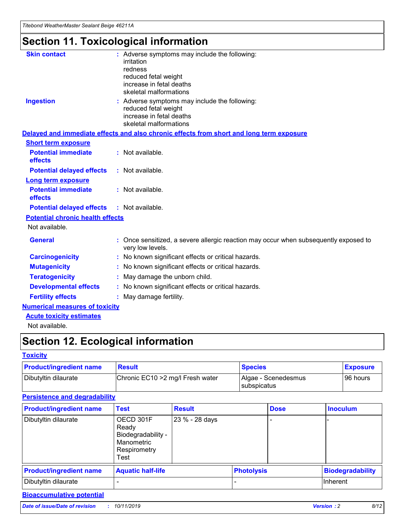## **Section 11. Toxicological information**

| <b>Skin contact</b>                     | : Adverse symptoms may include the following:                                                                               |  |
|-----------------------------------------|-----------------------------------------------------------------------------------------------------------------------------|--|
|                                         | irritation                                                                                                                  |  |
|                                         | redness<br>reduced fetal weight                                                                                             |  |
|                                         | increase in fetal deaths                                                                                                    |  |
|                                         | skeletal malformations                                                                                                      |  |
| <b>Ingestion</b>                        | : Adverse symptoms may include the following:<br>reduced fetal weight<br>increase in fetal deaths<br>skeletal malformations |  |
|                                         | Delayed and immediate effects and also chronic effects from short and long term exposure                                    |  |
| <b>Short term exposure</b>              |                                                                                                                             |  |
| <b>Potential immediate</b><br>effects   | : Not available.                                                                                                            |  |
| <b>Potential delayed effects</b>        | : Not available.                                                                                                            |  |
| <b>Long term exposure</b>               |                                                                                                                             |  |
| <b>Potential immediate</b><br>effects   | : Not available.                                                                                                            |  |
| <b>Potential delayed effects</b>        | : Not available.                                                                                                            |  |
| <b>Potential chronic health effects</b> |                                                                                                                             |  |
| Not available.                          |                                                                                                                             |  |
| <b>General</b>                          | : Once sensitized, a severe allergic reaction may occur when subsequently exposed to<br>very low levels.                    |  |
| <b>Carcinogenicity</b>                  | : No known significant effects or critical hazards.                                                                         |  |
| <b>Mutagenicity</b>                     | : No known significant effects or critical hazards.                                                                         |  |
| <b>Teratogenicity</b>                   | May damage the unborn child.                                                                                                |  |
| <b>Developmental effects</b>            | : No known significant effects or critical hazards.                                                                         |  |
| <b>Fertility effects</b>                | May damage fertility.                                                                                                       |  |
| <b>Numerical measures of toxicity</b>   |                                                                                                                             |  |
| <b>Acute toxicity estimates</b>         |                                                                                                                             |  |
| الملحلة والمستحقق فالمرابط              |                                                                                                                             |  |

Not available.

## **Section 12. Ecological information**

#### **Toxicity**

| <b>Product/ingredient name</b> | <b>Result</b>                     | <b>Species</b>                       | <b>Exposure</b> |
|--------------------------------|-----------------------------------|--------------------------------------|-----------------|
| Dibutyltin dilaurate           | Chronic EC10 > 2 mg/l Fresh water | Algae - Scenedesmus<br>I subspicatus | l 96 hours i    |

### **Persistence and degradability**

| <b>Product/ingredient name</b> | <b>Test</b>                                                                    | <b>Result</b>  |                   | <b>Dose</b> | <b>Inoculum</b>         |
|--------------------------------|--------------------------------------------------------------------------------|----------------|-------------------|-------------|-------------------------|
| Dibutyltin dilaurate           | OECD 301F<br>Ready<br>Biodegradability -<br>Manometric<br>Respirometry<br>Test | 23 % - 28 days |                   |             |                         |
| <b>Product/ingredient name</b> | <b>Aquatic half-life</b>                                                       |                | <b>Photolysis</b> |             | <b>Biodegradability</b> |
| Dibutyltin dilaurate           |                                                                                |                |                   |             | Inherent                |

### **Bioaccumulative potential**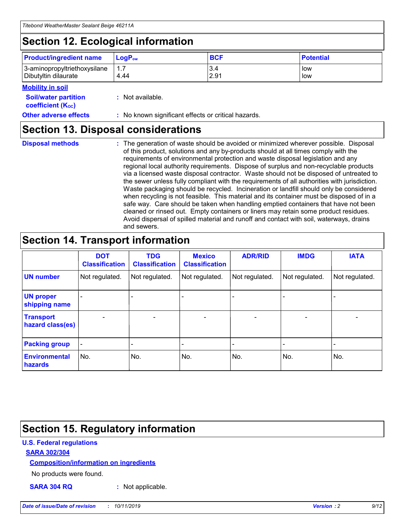## **Section 12. Ecological information**

| <b>Product/ingredient name</b> | $LoaPow$ | <b>BCF</b> | <b>Potential</b> |
|--------------------------------|----------|------------|------------------|
| 3-aminopropyltriethoxysilane   | 1.7      | 3.4        | low              |
| Dibutyltin dilaurate           | 4.44     | 2.91       | low              |

#### **Mobility in soil**

| <b>Soil/water partition</b><br>coefficient (K <sub>oc</sub> ) | : Not available.                                    |
|---------------------------------------------------------------|-----------------------------------------------------|
| <b>Other adverse effects</b>                                  | : No known significant effects or critical hazards. |

### **Section 13. Disposal considerations**

**Disposal methods :**

The generation of waste should be avoided or minimized wherever possible. Disposal of this product, solutions and any by-products should at all times comply with the requirements of environmental protection and waste disposal legislation and any regional local authority requirements. Dispose of surplus and non-recyclable products via a licensed waste disposal contractor. Waste should not be disposed of untreated to the sewer unless fully compliant with the requirements of all authorities with jurisdiction. Waste packaging should be recycled. Incineration or landfill should only be considered when recycling is not feasible. This material and its container must be disposed of in a safe way. Care should be taken when handling emptied containers that have not been cleaned or rinsed out. Empty containers or liners may retain some product residues. Avoid dispersal of spilled material and runoff and contact with soil, waterways, drains and sewers.

## **Section 14. Transport information**

|                                      | <b>DOT</b><br><b>Classification</b> | <b>TDG</b><br><b>Classification</b> | <b>Mexico</b><br><b>Classification</b> | <b>ADR/RID</b>           | <b>IMDG</b>              | <b>IATA</b>              |
|--------------------------------------|-------------------------------------|-------------------------------------|----------------------------------------|--------------------------|--------------------------|--------------------------|
| <b>UN number</b>                     | Not regulated.                      | Not regulated.                      | Not regulated.                         | Not regulated.           | Not regulated.           | Not regulated.           |
| <b>UN proper</b><br>shipping name    | $\qquad \qquad \blacksquare$        |                                     |                                        |                          |                          |                          |
| <b>Transport</b><br>hazard class(es) | $\overline{\phantom{m}}$            | $\overline{\phantom{0}}$            | $\qquad \qquad$                        | $\overline{\phantom{a}}$ | $\overline{\phantom{0}}$ | $\overline{\phantom{0}}$ |
| <b>Packing group</b>                 | $\overline{\phantom{a}}$            | -                                   |                                        |                          |                          |                          |
| <b>Environmental</b><br>hazards      | No.                                 | No.                                 | No.                                    | No.                      | No.                      | No.                      |

## **Section 15. Regulatory information**

### **U.S. Federal regulations**

#### **SARA 302/304**

#### **Composition/information on ingredients**

No products were found.

**SARA 304 RQ :** Not applicable.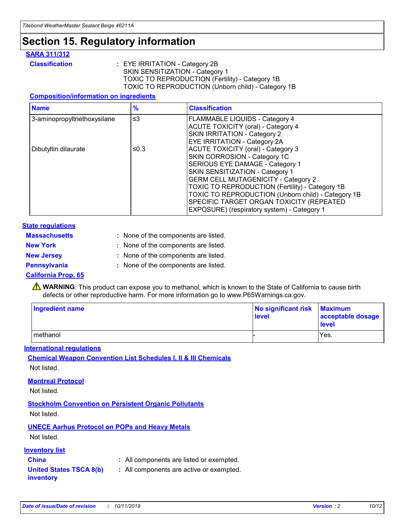## **Section 15. Regulatory information**

#### **SARA 311/312**

**Classification :** EYE IRRITATION - Category 2B SKIN SENSITIZATION - Category 1 TOXIC TO REPRODUCTION (Fertility) - Category 1B TOXIC TO REPRODUCTION (Unborn child) - Category 1B

#### **Composition/information on ingredients**

| <b>Name</b>                  | $\frac{9}{6}$ | <b>Classification</b>                                                                                            |
|------------------------------|---------------|------------------------------------------------------------------------------------------------------------------|
| 3-aminopropyltriethoxysilane | $\leq$ 3      | <b>FLAMMABLE LIQUIDS - Category 4</b><br><b>ACUTE TOXICITY (oral) - Category 4</b>                               |
|                              |               | SKIN IRRITATION - Category 2<br>EYE IRRITATION - Category 2A                                                     |
| Dibutyltin dilaurate         | ≤0.3          | ACUTE TOXICITY (oral) - Category 3<br>SKIN CORROSION - Category 1C                                               |
|                              |               | SERIOUS EYE DAMAGE - Category 1<br>SKIN SENSITIZATION - Category 1<br><b>GERM CELL MUTAGENICITY - Category 2</b> |
|                              |               | TOXIC TO REPRODUCTION (Fertility) - Category 1B<br>TOXIC TO REPRODUCTION (Unborn child) - Category 1B            |
|                              |               | SPECIFIC TARGET ORGAN TOXICITY (REPEATED<br>EXPOSURE) (respiratory system) - Category 1                          |

#### **State regulations**

| <b>Massachusetts</b> | : None of the components are listed. |
|----------------------|--------------------------------------|
| <b>New York</b>      | : None of the components are listed. |
| <b>New Jersey</b>    | : None of the components are listed. |
| Pennsylvania         | : None of the components are listed. |

#### **California Prop. 65**

**A** WARNING: This product can expose you to methanol, which is known to the State of California to cause birth defects or other reproductive harm. For more information go to www.P65Warnings.ca.gov.

| <b>Ingredient name</b> | No significant risk Maximum<br>level | acceptable dosage<br>level |
|------------------------|--------------------------------------|----------------------------|
| methanol               |                                      | Yes.                       |

#### **International regulations**

**Chemical Weapon Convention List Schedules I, II & III Chemicals** Not listed.

#### **Montreal Protocol**

Not listed.

#### **Stockholm Convention on Persistent Organic Pollutants**

Not listed.

### **UNECE Aarhus Protocol on POPs and Heavy Metals**

Not listed.

#### **Inventory list**

### **China :** All components are listed or exempted.

#### **United States TSCA 8(b) inventory :** All components are active or exempted.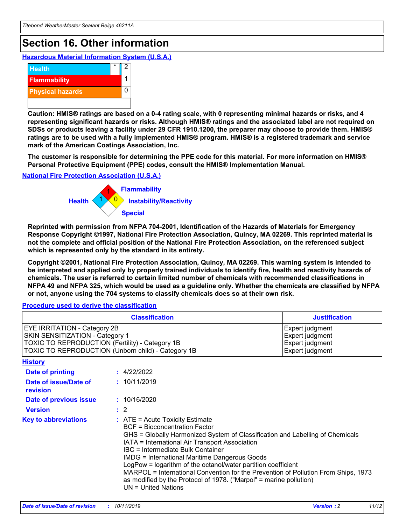## **Section 16. Other information**

**Hazardous Material Information System (U.S.A.)**



**Caution: HMIS® ratings are based on a 0-4 rating scale, with 0 representing minimal hazards or risks, and 4 representing significant hazards or risks. Although HMIS® ratings and the associated label are not required on SDSs or products leaving a facility under 29 CFR 1910.1200, the preparer may choose to provide them. HMIS® ratings are to be used with a fully implemented HMIS® program. HMIS® is a registered trademark and service mark of the American Coatings Association, Inc.**

**The customer is responsible for determining the PPE code for this material. For more information on HMIS® Personal Protective Equipment (PPE) codes, consult the HMIS® Implementation Manual.**

#### **National Fire Protection Association (U.S.A.)**



**Reprinted with permission from NFPA 704-2001, Identification of the Hazards of Materials for Emergency Response Copyright ©1997, National Fire Protection Association, Quincy, MA 02269. This reprinted material is not the complete and official position of the National Fire Protection Association, on the referenced subject which is represented only by the standard in its entirety.**

**Copyright ©2001, National Fire Protection Association, Quincy, MA 02269. This warning system is intended to be interpreted and applied only by properly trained individuals to identify fire, health and reactivity hazards of chemicals. The user is referred to certain limited number of chemicals with recommended classifications in NFPA 49 and NFPA 325, which would be used as a guideline only. Whether the chemicals are classified by NFPA or not, anyone using the 704 systems to classify chemicals does so at their own risk.**

**Procedure used to derive the classification**

| <b>Classification</b>                                                                                                                                                    |                                                                                                                                                  | <b>Justification</b>                                                                                                                                                                                                                                                                                                                                                                                                 |  |
|--------------------------------------------------------------------------------------------------------------------------------------------------------------------------|--------------------------------------------------------------------------------------------------------------------------------------------------|----------------------------------------------------------------------------------------------------------------------------------------------------------------------------------------------------------------------------------------------------------------------------------------------------------------------------------------------------------------------------------------------------------------------|--|
| EYE IRRITATION - Category 2B<br>SKIN SENSITIZATION - Category 1<br>TOXIC TO REPRODUCTION (Fertility) - Category 1B<br>TOXIC TO REPRODUCTION (Unborn child) - Category 1B |                                                                                                                                                  | Expert judgment<br>Expert judgment<br>Expert judgment<br>Expert judgment                                                                                                                                                                                                                                                                                                                                             |  |
| <b>History</b>                                                                                                                                                           |                                                                                                                                                  |                                                                                                                                                                                                                                                                                                                                                                                                                      |  |
| Date of printing                                                                                                                                                         | : 4/22/2022                                                                                                                                      |                                                                                                                                                                                                                                                                                                                                                                                                                      |  |
| Date of issue/Date of<br>revision                                                                                                                                        | : 10/11/2019                                                                                                                                     |                                                                                                                                                                                                                                                                                                                                                                                                                      |  |
| Date of previous issue                                                                                                                                                   | : 10/16/2020                                                                                                                                     |                                                                                                                                                                                                                                                                                                                                                                                                                      |  |
| <b>Version</b>                                                                                                                                                           | $\therefore$ 2                                                                                                                                   |                                                                                                                                                                                                                                                                                                                                                                                                                      |  |
| <b>Key to abbreviations</b>                                                                                                                                              | $\therefore$ ATE = Acute Toxicity Estimate<br><b>BCF</b> = Bioconcentration Factor<br>IBC = Intermediate Bulk Container<br>$UN = United Nations$ | GHS = Globally Harmonized System of Classification and Labelling of Chemicals<br>IATA = International Air Transport Association<br><b>IMDG = International Maritime Dangerous Goods</b><br>LogPow = logarithm of the octanol/water partition coefficient<br>MARPOL = International Convention for the Prevention of Pollution From Ships, 1973<br>as modified by the Protocol of 1978. ("Marpol" = marine pollution) |  |